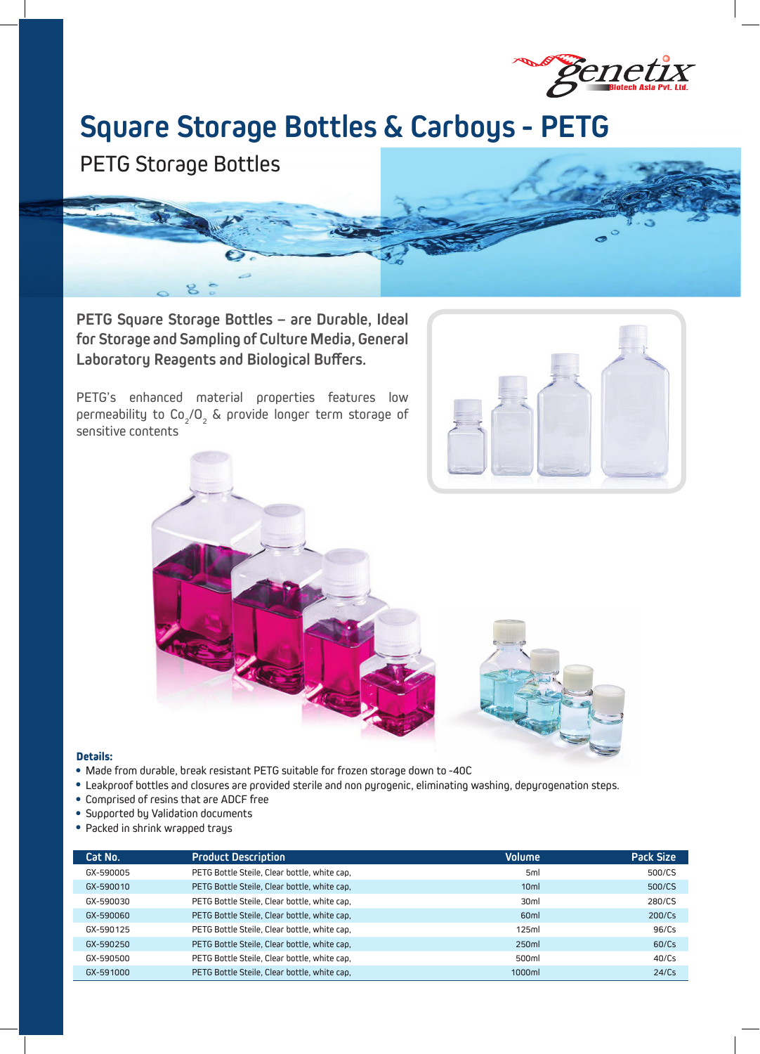

## **Square Storage Bottles & Carboys - PETG**

PETG Storage Bottles



**PETG Square Storage Bottles – are Durable, Ideal for Storage and Sampling of Culture Media, General Laboratory Reagents and Biological Buffers.**

PETG's enhanced material properties features low permeability to Co $_{2}$ /O $_{2}$  & provide longer term storage of sensitive contents







## **Details:**

- Made from durable, break resistant PETG suitable for frozen storage down to -40C
- Leakproof bottles and closures are provided sterile and non pyrogenic, eliminating washing, depyrogenation steps.
- Comprised of resins that are ADCF free
- Supported by Validation documents
- Packed in shrink wrapped trays

| Cat No.   | <b>Product Description</b>                   | <b>Volume</b>    | <b>Pack Size</b> |
|-----------|----------------------------------------------|------------------|------------------|
| GX-590005 | PETG Bottle Steile, Clear bottle, white cap, | 5ml              | 500/CS           |
| GX-590010 | PETG Bottle Steile, Clear bottle, white cap, | 10 <sub>m</sub>  | 500/CS           |
| GX-590030 | PETG Bottle Steile, Clear bottle, white cap, | 30 <sub>m</sub>  | 280/CS           |
| GX-590060 | PETG Bottle Steile, Clear bottle, white cap, | 60 <sub>ml</sub> | 200/Cs           |
| GX-590125 | PETG Bottle Steile, Clear bottle, white cap, | 125ml            | 96/Cs            |
| GX-590250 | PETG Bottle Steile, Clear bottle, white cap, | 250ml            | 60/Cs            |
| GX-590500 | PETG Bottle Steile, Clear bottle, white cap, | 500ml            | 40/Cs            |
| GX-591000 | PETG Bottle Steile, Clear bottle, white cap, | 1000ml           | 24/Cs            |